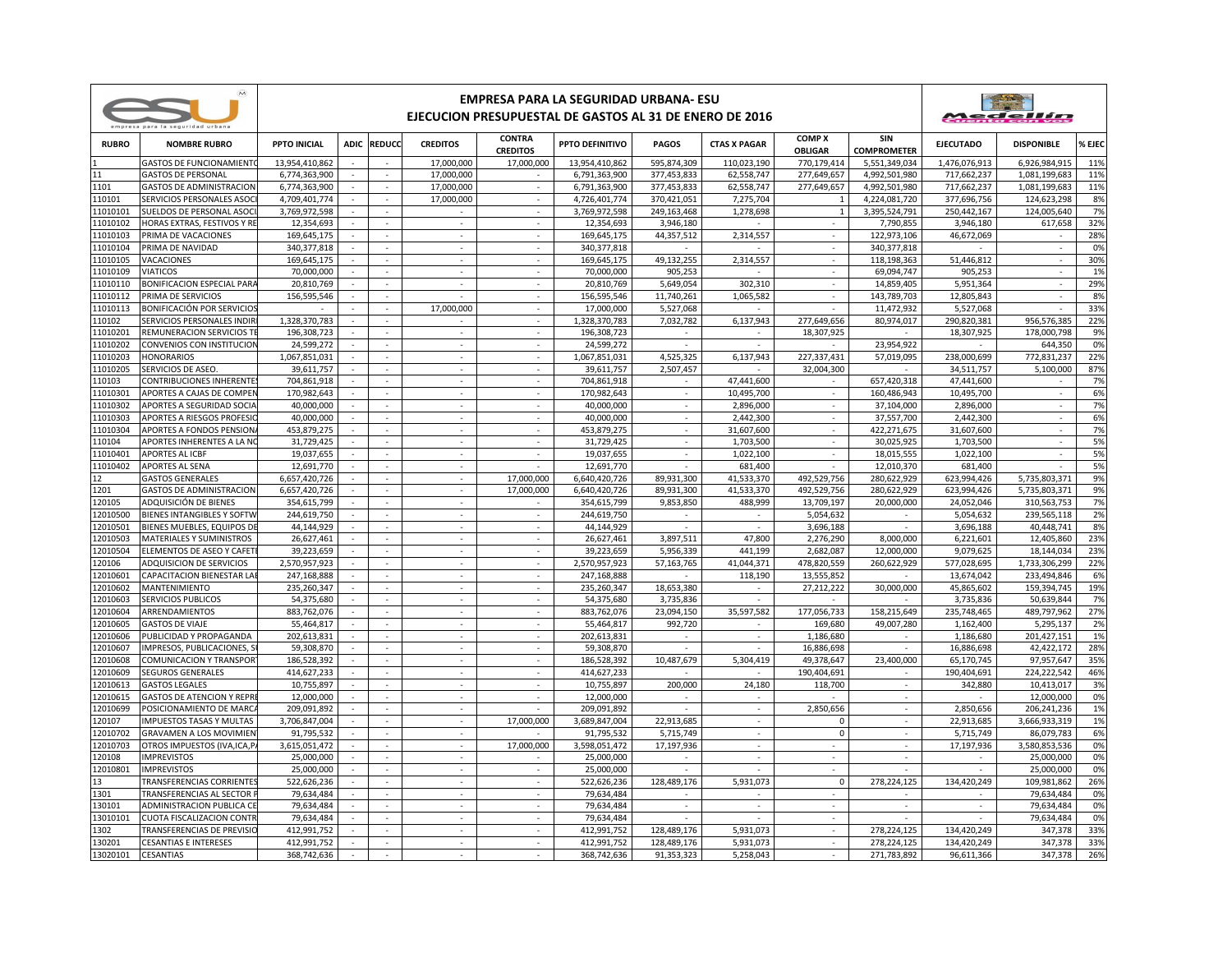|                    | $\overline{M}$<br>empresa para la seguridad urbana     | EMPRESA PARA LA SEGURIDAD URBANA- ESU<br>EJECUCION PRESUPUESTAL DE GASTOS AL 31 DE ENERO DE 2016 |        |                             |                          |                                  |                            |              |                          |                                 |                            |                          | Medellín          |          |  |
|--------------------|--------------------------------------------------------|--------------------------------------------------------------------------------------------------|--------|-----------------------------|--------------------------|----------------------------------|----------------------------|--------------|--------------------------|---------------------------------|----------------------------|--------------------------|-------------------|----------|--|
| <b>RUBRO</b>       | <b>NOMBRE RUBRO</b>                                    | <b>PPTO INICIAL</b>                                                                              |        | ADIC REDUCC                 | <b>CREDITOS</b>          | <b>CONTRA</b><br><b>CREDITOS</b> | PPTO DEFINITIVO            | <b>PAGOS</b> | <b>CTAS X PAGAR</b>      | <b>COMP X</b><br><b>OBLIGAR</b> | SIN<br><b>COMPROMETER</b>  | <b>EJECUTADO</b>         | <b>DISPONIBLE</b> | % EJEC   |  |
|                    | <b>GASTOS DE FUNCIONAMIENT</b>                         | 13.954.410.862                                                                                   |        |                             | 17.000.000               | 17.000.000                       | 13.954.410.862             | 595.874.309  | 110.023.190              | 770.179.414                     | 5.551.349.034              | 1.476.076.913            | 6.926.984.915     | 11%      |  |
|                    | <b>GASTOS DE PERSONAL</b>                              | 6,774,363,900                                                                                    |        | $\sim$                      | 17,000,000               |                                  | 6,791,363,900              | 377,453,833  | 62,558,747               | 277,649,657                     | 4,992,501,980              | 717,662,237              | 1,081,199,683     | 11%      |  |
| 1101               | <b>GASTOS DE ADMINISTRACION</b>                        | 6,774,363,900                                                                                    |        | ÷                           | 17,000,000               |                                  | 6,791,363,900              | 377,453,833  | 62,558,747               | 277,649,657                     | 4,992,501,980              | 717,662,237              | 1,081,199,683     | 11%      |  |
| 10101              | SERVICIOS PERSONALES ASOC                              | 4,709,401,774                                                                                    |        | ÷,                          | 17,000,000               |                                  | 4,726,401,774              | 370,421,051  | 7,275,704                | $\overline{1}$                  | 4,224,081,720              | 377,696,756              | 124,623,298       | 8%       |  |
| 11010101           | SUELDOS DE PERSONAL ASOCI                              | 3,769,972,598                                                                                    | $\sim$ | $\sim$                      | $\sim$                   | $\sim$                           | 3,769,972,598              | 249,163,468  | 1,278,698                | $\mathbf{1}$                    | 3,395,524,791              | 250,442,167              | 124,005,640       | 7%       |  |
| 11010102           | HORAS EXTRAS, FESTIVOS Y RE                            | 12,354,693                                                                                       |        | $\sim$                      | $\sim$                   | ÷.                               | 12,354,693                 | 3,946,180    |                          |                                 | 7,790,855                  | 3,946,180                | 617,658           | 32%      |  |
| 11010103           | PRIMA DE VACACIONES                                    | 169,645,175                                                                                      |        | $\sim$                      | $\sim$                   | $\sim$                           | 169,645,175                | 44,357,512   | 2,314,557                | $\sim$                          | 122,973,106                | 46,672,069               |                   | 28%      |  |
| 1010104            | PRIMA DE NAVIDAD                                       | 340,377,818                                                                                      |        | ×.                          | $\sim$                   | $\sim$                           | 340, 377, 818              |              |                          | $\sim$                          | 340, 377, 818              |                          |                   | 0%       |  |
| 11010105           | VACACIONES                                             | 169,645,175                                                                                      |        | $\overline{\phantom{a}}$    | $\epsilon$               | $\sim$                           | 169,645,175                | 49,132,255   | 2,314,557                | $\sim$                          | 118,198,363                | 51,446,812               | $\sim$            | 30%      |  |
| 11010109           | <b>VIATICOS</b>                                        | 70,000,000                                                                                       |        | ÷                           | $\sim$                   |                                  | 70,000,000                 | 905,253      |                          |                                 | 69,094,747                 | 905,253                  | ÷.                | 1%       |  |
| 11010110           | <b>BONIFICACION ESPECIAL PARA</b>                      | 20,810,769                                                                                       |        | $\overline{\phantom{a}}$    |                          |                                  | 20,810,769                 | 5,649,054    | 302,310                  |                                 | 14,859,405                 | 5,951,364                |                   | 29%      |  |
| 11010112           | PRIMA DE SERVICIOS                                     | 156,595,546                                                                                      |        | $\sim$                      |                          | $\sim$                           | 156,595,546                | 11,740,261   | 1,065,582                | $\sim$                          | 143,789,703                | 12,805,843               | $\sim$            | 8%       |  |
| 11010113           | BONIFICACIÓN POR SERVICIO                              |                                                                                                  |        | $\sim$                      | 17,000,000               | $\mathcal{L}$                    | 17,000,000                 | 5,527,068    |                          |                                 | 11,472,932                 | 5,527,068                |                   | 33%      |  |
| 110102             | SERVICIOS PERSONALES INDIR                             | 1,328,370,783                                                                                    | ÷.     | $\sim$                      |                          | $\mathcal{L}$                    | 1,328,370,783              | 7,032,782    | 6,137,943                | 277.649.656                     | 80,974,017                 | 290.820.381              | 956.576.385       | 22%      |  |
| 11010201           | REMUNERACION SERVICIOS T                               | 196,308,723                                                                                      |        | $\overline{\phantom{a}}$    | $\sim$                   | $\sim$                           | 196,308,723                |              |                          | 18,307,925                      |                            | 18,307,925               | 178,000,798       | 9%       |  |
| 11010202           | CONVENIOS CON INSTITUCION                              | 24,599,272                                                                                       |        | $\sim$<br>in 1              | $\sim$                   | $\sim$<br>i.                     | 24,599,272                 |              |                          |                                 | 23,954,922                 |                          | 644,350           | 0%       |  |
| 11010203           | <b>HONORARIOS</b>                                      | 1,067,851,031                                                                                    |        |                             | $\sim$                   |                                  | 1,067,851,031              | 4,525,325    | 6,137,943                | 227,337,431                     | 57,019,095                 | 238,000,699              | 772,831,237       | 22%      |  |
| 11010205           | SERVICIOS DE ASEO.                                     | 39,611,757                                                                                       |        | ÷,                          |                          |                                  | 39.611.757                 | 2,507,457    |                          | 32.004.300                      |                            | 34.511.757               | 5,100,000         | 87%      |  |
| 110103<br>11010301 | CONTRIBUCIONES INHERENTE<br>APORTES A CAJAS DE COMPEI  | 704,861,918<br>170,982,643                                                                       | $\sim$ | $\sim$<br>÷.                | $\sim$<br>÷              | $\overline{\phantom{a}}$<br>×    | 704,861,918<br>170,982,643 | $\sim$<br>×, | 47,441,600<br>10,495,700 | $\sim$<br>÷                     | 657,420,318<br>160,486,943 | 47,441,600<br>10,495,700 | $\sim$<br>×.      | 7%       |  |
| 11010302           |                                                        | 40.000.000                                                                                       |        | $\sim$                      | $\overline{\phantom{a}}$ | $\sim$                           | 40.000.000                 |              |                          |                                 |                            |                          |                   | 6%       |  |
| 11010303           | APORTES A SEGURIDAD SOCIA<br>APORTES A RIESGOS PROFESI | 40,000,000                                                                                       | ٠      | $\mathcal{L}_{\mathcal{A}}$ | $\sim$                   | $\sim$                           | 40,000,000                 | $\sim$       | 2,896,000<br>2,442,300   | $\sim$                          | 37,104,000<br>37,557,700   | 2,896,000<br>2,442,300   | $\sim$            | 7%<br>6% |  |
| 11010304           | <b>APORTES A FONDOS PENSION</b>                        | 453.879.275                                                                                      |        | $\sim$                      | $\sim$                   | ÷.                               | 453.879.275                |              | 31,607,600               | ÷.                              | 422.271.675                | 31,607,600               | ÷.                | 7%       |  |
| 10104              | APORTES INHERENTES A LA NO                             | 31,729,425                                                                                       |        | $\sim$                      | $\sim$                   | $\mathcal{L}$                    | 31,729,425                 |              | 1,703,500                | $\sim$                          | 30,025,925                 | 1,703,500                | $\sim$            | 5%       |  |
| 11010401           | <b>APORTES AL ICBF</b>                                 | 19,037,655                                                                                       |        | ٠                           |                          |                                  | 19,037,655                 |              | 1,022,100                |                                 | 18,015,555                 | 1,022,100                |                   | 5%       |  |
| 11010402           | APORTES AL SENA                                        | 12,691,770                                                                                       | $\sim$ | $\sim$                      | $\sim$                   | $\sim$                           | 12,691,770                 | $\sim$       | 681,400                  | $\sim$                          | 12,010,370                 | 681,400                  | ×.                | 5%       |  |
|                    | <b>GASTOS GENERALES</b>                                | 6,657,420,726                                                                                    |        | τ                           |                          | 17,000,000                       | 6,640,420,726              | 89,931,300   | 41,533,370               | 492.529.756                     | 280,622,929                | 623,994,426              | 5,735,803,371     | 9%       |  |
| 1201               | <b>GASTOS DE ADMINISTRACION</b>                        | 6,657,420,726                                                                                    |        | $\mathcal{L}_{\mathcal{A}}$ | $\overline{\phantom{a}}$ | 17,000,000                       | 6,640,420,726              | 89,931,300   | 41,533,370               | 492,529,756                     | 280,622,929                | 623,994,426              | 5,735,803,371     | 9%       |  |
| 120105             | ADQUISICIÓN DE BIENES                                  | 354,615,799                                                                                      | ٠      | $\sim$                      | $\sim$                   | $\sim$                           | 354,615,799                | 9,853,850    | 488,999                  | 13,709,197                      | 20,000,000                 | 24,052,046               | 310,563,753       | 7%       |  |
| 12010500           | <b>BIENES INTANGIBLES Y SOFTW</b>                      | 244,619,750                                                                                      |        | ÷                           | ÷                        |                                  | 244,619,750                |              |                          | 5,054,632                       |                            | 5,054,632                | 239,565,118       | 2%       |  |
| 12010501           | BIENES MUEBLES, EQUIPOS DI                             | 44,144,929                                                                                       |        | $\mathcal{L}_{\mathcal{A}}$ | $\sim$                   | $\sim$                           | 44,144,929                 |              | $\sim$                   | 3,696,188                       |                            | 3,696,188                | 40,448,741        | 8%       |  |
| 12010503           | <b>MATERIALES Y SUMINISTROS</b>                        | 26,627,461                                                                                       |        | $\sim$                      | $\sim$                   | $\sim$                           | 26,627,461                 | 3,897,511    | 47.800                   | 2.276.290                       | 8.000.000                  | 6,221,601                | 12,405,860        | 23%      |  |
| 12010504           | ELEMENTOS DE ASEO Y CAFET                              | 39,223,659                                                                                       |        | $\mathcal{L}_{\mathcal{A}}$ | $\sim$                   | $\mathcal{L}$                    | 39,223,659                 | 5,956,339    | 441,199                  | 2,682,087                       | 12,000,000                 | 9,079,625                | 18,144,034        | 23%      |  |
| 120106             | ADQUISICION DE SERVICIOS                               | 2,570,957,923                                                                                    |        | ÷                           | $\sim$                   | $\sim$                           | 2,570,957,923              | 57,163,765   | 41,044,371               | 478,820,559                     | 260,622,929                | 577,028,695              | 1,733,306,299     | 22%      |  |
| 12010601           | CAPACITACION BIENESTAR LA                              | 247,168,888                                                                                      |        | $\mathcal{L}_{\mathcal{A}}$ | $\sim$                   |                                  | 247,168,888                |              | 118,190                  | 13,555,852                      |                            | 13,674,042               | 233,494,846       | 6%       |  |
| 12010602           | MANTENIMIENTO                                          | 235,260,347                                                                                      |        | $\sim$                      | $\sim$                   | $\sim$                           | 235,260,347                | 18,653,380   | $\sim$                   | 27,212,222                      | 30,000,000                 | 45,865,602               | 159,394,745       | 19%      |  |
| 12010603           | SERVICIOS PUBLICOS                                     | 54,375,680                                                                                       |        | ÷                           | ÷                        |                                  | 54,375,680                 | 3,735,836    |                          |                                 |                            | 3,735,836                | 50,639,844        | 7%       |  |
| 2010604            | ARRENDAMIENTOS                                         | 883,762,076                                                                                      |        | $\mathcal{L}_{\mathcal{A}}$ |                          | $\sim$                           | 883,762,076                | 23,094,150   | 35,597,582               | 177,056,733                     | 158,215,649                | 235,748,465              | 489,797,962       | 27%      |  |
| 12010605           | <b>GASTOS DE VIAJE</b>                                 | 55,464,817                                                                                       | $\sim$ | ×.                          | $\sim$                   | $\sim$                           | 55,464,817                 | 992,720      | ÷.                       | 169,680                         | 49,007,280                 | 1,162,400                | 5,295,137         | 2%       |  |
| 12010606           | PUBLICIDAD Y PROPAGANDA                                | 202,613,831                                                                                      | ÷.     | $\sim$                      | $\sim$                   | ÷.                               | 202.613.831                |              | $\sim$                   | 1,186,680                       |                            | 1,186,680                | 201,427,151       | 1%       |  |
| 12010607           | IMPRESOS, PUBLICACIONES, 9                             | 59,308,870                                                                                       | $\sim$ | $\sim$                      | $\sim$                   | $\sim$                           | 59,308,870                 |              | ÷                        | 16,886,698                      | in 19                      | 16,886,698               | 42,422,172        | 28%      |  |
| 12010608           | COMUNICACION Y TRANSPOR                                | 186,528,392                                                                                      |        | $\overline{\phantom{a}}$    | $\overline{\phantom{a}}$ | $\sim$                           | 186,528,392                | 10,487,679   | 5,304,419                | 49,378,647                      | 23,400,000                 | 65,170,745               | 97,957,647        | 35%      |  |
| 12010609           | SEGUROS GENERALES                                      | 414,627,233                                                                                      |        | $\sim$                      | $\sim$                   | $\sim$                           | 414,627,233                |              |                          | 190.404.691                     |                            | 190,404,691              | 224,222,542       | 46%      |  |
| 12010613           | <b>GASTOS LEGALES</b>                                  | 10,755,897                                                                                       |        | ÷                           | i.                       | i.                               | 10,755,897                 | 200,000      | 24,180                   | 118,700                         | i.                         | 342,880                  | 10,413,017        | 3%       |  |
| 2010615            | <b>GASTOS DE ATENCION Y REPR</b>                       | 12.000.000                                                                                       |        | ÷,                          |                          |                                  | 12.000.000                 |              | $\overline{\phantom{a}}$ |                                 |                            |                          | 12.000.000        | 0%       |  |
| 12010699           | POSICIONAMIENTO DE MARC                                | 209,091,892                                                                                      | $\sim$ | $\sim$                      | $\sim$                   | $\sim$                           | 209,091,892                | $\sim$       | $\sim$                   | 2,850,656                       | $\sim$                     | 2,850,656                | 206,241,236       | 1%       |  |
| 120107             | <b>IMPUESTOS TASAS Y MULTAS</b>                        | 3,706,847,004                                                                                    |        | $\mathbf{r}$                | $\sim$                   | 17,000,000                       | 3,689,847,004              | 22.913.685   | ÷,                       | $\Omega$                        | ÷                          | 22,913,685               | 3.666.933.319     | 1%       |  |
| 12010702           | <b>GRAVAMEN A LOS MOVIMIEN</b>                         | 91,795,532                                                                                       | ÷.     | $\sim$                      | $\mathbf{r}$             |                                  | 91,795,532                 | 5,715,749    | ÷.                       | $\mathbf 0$                     | ÷.                         | 5,715,749                | 86,079,783        | 6%       |  |
| 12010703           | OTROS IMPUESTOS (IVA,ICA,P                             | 3,615,051,472                                                                                    |        | $\sim$                      | $\sim$                   | 17,000,000                       | 3,598,051,472              | 17,197,936   | $\sim$                   | $\sim$                          | $\sim$                     | 17,197,936               | 3,580,853,536     | 0%       |  |
| 120108             | <b>IMPREVISTOS</b>                                     | 25.000.000                                                                                       |        | $\sim$                      | $\sim$                   |                                  | 25.000.000                 |              | ÷.                       | ÷.                              | $\sim$                     |                          | 25.000.000        | 0%       |  |
| 12010801           | <b>IMPREVISTOS</b>                                     | 25,000,000                                                                                       |        | $\sim$                      | $\sim$                   |                                  | 25,000,000                 |              |                          |                                 |                            |                          | 25,000,000        | 0%       |  |
| 13.                | TRANSFERENCIAS CORRIENTE                               | 522.626.236                                                                                      |        | $\overline{\phantom{a}}$    | $\overline{\phantom{a}}$ |                                  | 522.626.236                | 128.489.176  | 5.931.073                | $\mathbf 0$                     | 278.224.125                | 134.420.249              | 109.981.862       | 26%      |  |
| 1301               | TRANSFERENCIAS AL SECTOR                               | 79,634,484                                                                                       |        | $\overline{\phantom{a}}$    | $\sim$                   | $\sim$                           | 79,634,484                 | $\sim$       | $\sim$                   | $\sim$                          | $\sim$                     | $\sim$                   | 79,634,484        | 0%       |  |
| 130101             | ADMINISTRACION PUBLICA CI                              | 79,634,484                                                                                       |        | ÷                           | ÷                        | ×                                | 79,634,484                 |              | ×                        | ÷.                              | ÷.                         |                          | 79,634,484        | 0%       |  |
| 13010101           | <b>CUOTA FISCALIZACION CONT</b>                        | 79,634,484                                                                                       |        | $\mathcal{L}$               | ×                        | $\sim$                           | 79,634,484                 |              |                          | ÷.                              |                            |                          | 79,634,484        | 0%       |  |
| 1302               | <b>TRANSFERENCIAS DE PREVISIO</b>                      | 412,991,752                                                                                      | $\sim$ | $\overline{\phantom{a}}$    | $\sim$                   | $\sim$                           | 412,991,752                | 128,489,176  | 5,931,073                | $\sim$                          | 278,224,125                | 134,420,249              | 347,378           | 33%      |  |
| 130201             | <b>CESANTIAS E INTERESES</b>                           | 412,991,752                                                                                      |        | $\sim$                      | ×                        | ×                                | 412,991,752                | 128,489,176  | 5,931,073                |                                 | 278.224.125                | 134,420,249              | 347,378           | 33%      |  |
| 13020101           | <b>CESANTIAS</b>                                       | 368,742,636                                                                                      |        | ÷.                          |                          | ×                                | 368,742,636                | 91,353,323   | 5,258,043                |                                 | 271,783,892                | 96,611,366               | 347,378           | 26%      |  |